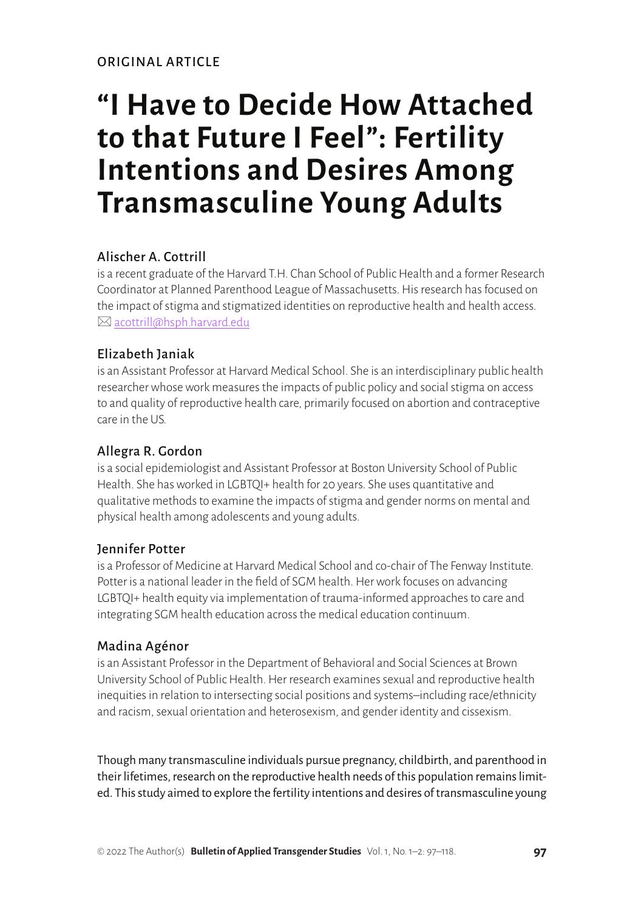# **"I Have to Decide How Attached to that Future I Feel": Fertility Intentions and Desires Among Transmasculine Young Adults**

## Alischer A. Cottrill

is a recent graduate of the Harvard T.H. Chan School of Public Health and a former Research Coordinator at Planned Parenthood League of Massachusetts. His research has focused on the impact of stigma and stigmatized identities on reproductive health and health access.  $\boxtimes$  [acottrill@hsph.harvard.edu](mailto:acottrill@hsph.harvard.edu)

# Elizabeth Janiak

is an Assistant Professor at Harvard Medical School. She is an interdisciplinary public health researcher whose work measures the impacts of public policy and social stigma on access to and quality of reproductive health care, primarily focused on abortion and contraceptive care in the US.

## Allegra R. Gordon

is a social epidemiologist and Assistant Professor at Boston University School of Public Health. She has worked in LGBTQI+ health for 20 years. She uses quantitative and qualitative methods to examine the impacts of stigma and gender norms on mental and physical health among adolescents and young adults.

## Jennifer Potter

is a Professor of Medicine at Harvard Medical School and co-chair of The Fenway Institute. Potter is a national leader in the field of SGM health. Her work focuses on advancing LGBTQI+ health equity via implementation of trauma-informed approaches to care and integrating SGM health education across the medical education continuum.

#### Madina Agénor

is an Assistant Professor in the Department of Behavioral and Social Sciences at Brown University School of Public Health. Her research examines sexual and reproductive health inequities in relation to intersecting social positions and systems–including race/ethnicity and racism, sexual orientation and heterosexism, and gender identity and cissexism.

Though many transmasculine individuals pursue pregnancy, childbirth, and parenthood in their lifetimes, research on the reproductive health needs of this population remains limited. This study aimed to explore the fertility intentions and desires of transmasculine young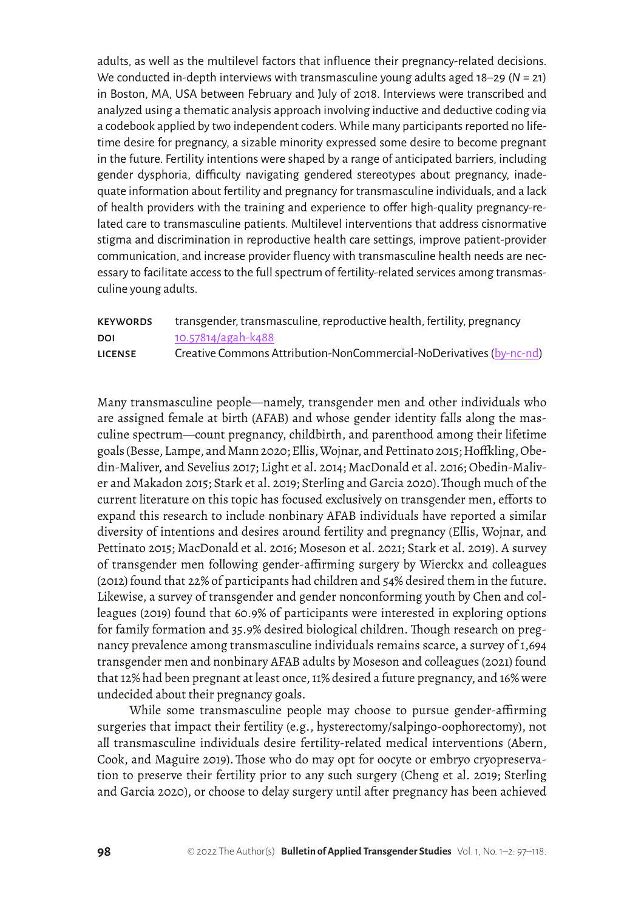adults, as well as the multilevel factors that influence their pregnancy-related decisions. We conducted in-depth interviews with transmasculine young adults aged 18–29 (*N* = 21) in Boston, MA, USA between February and July of 2018. Interviews were transcribed and analyzed using a thematic analysis approach involving inductive and deductive coding via a codebook applied by two independent coders. While many participants reported no lifetime desire for pregnancy, a sizable minority expressed some desire to become pregnant in the future. Fertility intentions were shaped by a range of anticipated barriers, including gender dysphoria, difficulty navigating gendered stereotypes about pregnancy, inadequate information about fertility and pregnancy for transmasculine individuals, and a lack of health providers with the training and experience to offer high-quality pregnancy-related care to transmasculine patients. Multilevel interventions that address cisnormative stigma and discrimination in reproductive health care settings, improve patient-provider communication, and increase provider fluency with transmasculine health needs are necessary to facilitate access to the full spectrum of fertility-related services among transmasculine young adults.

#### keywords transgender, transmasculine, reproductive health, fertility, pregnancy DOI [10.57814/agah-k488](http://doi.org/10.57814/agah-k488) LICENSE Creative Commons Attribution-NonCommercial-NoDerivatives [\(by-nc-nd](https://creativecommons.org/licenses/by-nc-nd/4.0/legalcode))

Many transmasculine people—namely, transgender men and other individuals who are assigned female at birth (AFAB) and whose gender identity falls along the masculine spectrum—count pregnancy, childbirth, and parenthood among their lifetime goals (Besse, Lampe, and Mann 2020; Ellis, Wojnar, and Pettinato 2015; Hoffkling, Obedin-Maliver, and Sevelius 2017; Light et al. 2014; MacDonald et al. 2016; Obedin-Maliver and Makadon 2015; Stark et al. 2019; Sterling and Garcia 2020).Though much of the current literature on this topic has focused exclusively on transgender men, efforts to expand this research to include nonbinary AFAB individuals have reported a similar diversity of intentions and desires around fertility and pregnancy (Ellis, Wojnar, and Pettinato 2015; MacDonald et al. 2016; Moseson et al. 2021; Stark et al. 2019). A survey of transgender men following gender-affirming surgery by Wierckx and colleagues (2012) found that 22% of participants had children and 54% desired them in the future. Likewise, a survey of transgender and gender nonconforming youth by Chen and colleagues (2019) found that 60.9% of participants were interested in exploring options for family formation and 35.9% desired biological children. Though research on pregnancy prevalence among transmasculine individuals remains scarce, a survey of 1,694 transgender men and nonbinary AFAB adults by Moseson and colleagues (2021) found that 12% had been pregnant at least once, 11% desired a future pregnancy, and 16% were undecided about their pregnancy goals.

While some transmasculine people may choose to pursue gender-affirming surgeries that impact their fertility (e.g., hysterectomy/salpingo-oophorectomy), not all transmasculine individuals desire fertility-related medical interventions (Abern, Cook, and Maguire 2019).Those who do may opt for oocyte or embryo cryopreservation to preserve their fertility prior to any such surgery (Cheng et al. 2019; Sterling and Garcia 2020), or choose to delay surgery until after pregnancy has been achieved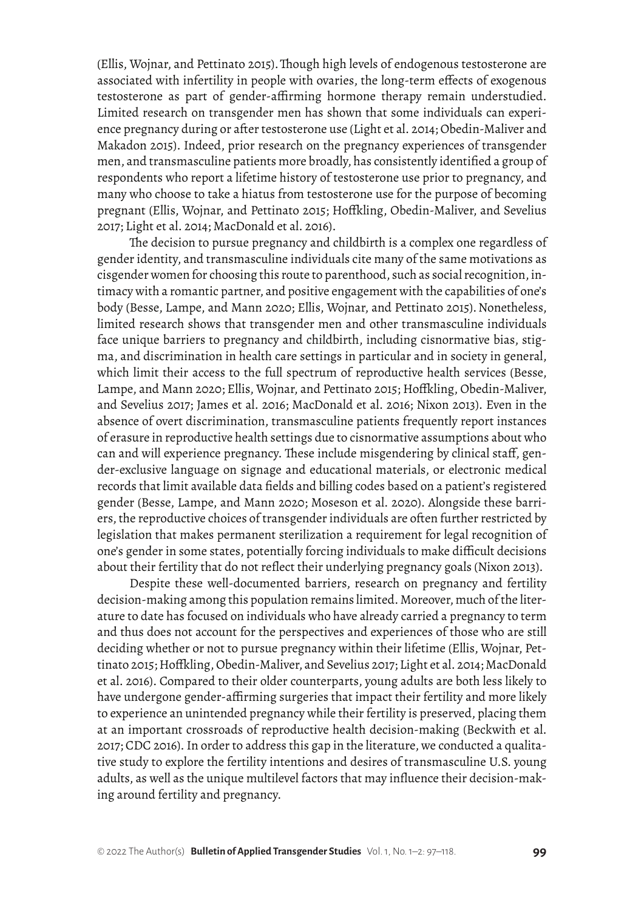(Ellis, Wojnar, and Pettinato 2015).Though high levels of endogenous testosterone are associated with infertility in people with ovaries, the long-term effects of exogenous testosterone as part of gender-affirming hormone therapy remain understudied. Limited research on transgender men has shown that some individuals can experience pregnancy during or after testosterone use (Light et al. 2014; Obedin-Maliver and Makadon 2015). Indeed, prior research on the pregnancy experiences of transgender men, and transmasculine patients more broadly, has consistently identified a group of respondents who report a lifetime history of testosterone use prior to pregnancy, and many who choose to take a hiatus from testosterone use for the purpose of becoming pregnant (Ellis, Wojnar, and Pettinato 2015; Hoffkling, Obedin-Maliver, and Sevelius 2017; Light et al. 2014; MacDonald et al. 2016).

The decision to pursue pregnancy and childbirth is a complex one regardless of gender identity, and transmasculine individuals cite many of the same motivations as cisgender women for choosing this route to parenthood, such as social recognition, intimacy with a romantic partner, and positive engagement with the capabilities of one's body (Besse, Lampe, and Mann 2020; Ellis, Wojnar, and Pettinato 2015). Nonetheless, limited research shows that transgender men and other transmasculine individuals face unique barriers to pregnancy and childbirth, including cisnormative bias, stigma, and discrimination in health care settings in particular and in society in general, which limit their access to the full spectrum of reproductive health services (Besse, Lampe, and Mann 2020; Ellis, Wojnar, and Pettinato 2015; Hoffkling, Obedin-Maliver, and Sevelius 2017; James et al. 2016; MacDonald et al. 2016; Nixon 2013). Even in the absence of overt discrimination, transmasculine patients frequently report instances of erasure in reproductive health settings due to cisnormative assumptions about who can and will experience pregnancy. These include misgendering by clinical staff, gender-exclusive language on signage and educational materials, or electronic medical records that limit available data fields and billing codes based on a patient's registered gender (Besse, Lampe, and Mann 2020; Moseson et al. 2020). Alongside these barriers, the reproductive choices of transgender individuals are often further restricted by legislation that makes permanent sterilization a requirement for legal recognition of one's gender in some states, potentially forcing individuals to make difficult decisions about their fertility that do not reflect their underlying pregnancy goals (Nixon 2013).

Despite these well-documented barriers, research on pregnancy and fertility decision-making among this population remains limited. Moreover, much of the literature to date has focused on individuals who have already carried a pregnancy to term and thus does not account for the perspectives and experiences of those who are still deciding whether or not to pursue pregnancy within their lifetime (Ellis, Wojnar, Pettinato 2015; Hoffkling, Obedin-Maliver, and Sevelius 2017; Light et al. 2014; MacDonald et al. 2016). Compared to their older counterparts, young adults are both less likely to have undergone gender-affirming surgeries that impact their fertility and more likely to experience an unintended pregnancy while their fertility is preserved, placing them at an important crossroads of reproductive health decision-making (Beckwith et al. 2017; CDC 2016). In order to address this gap in the literature, we conducted a qualitative study to explore the fertility intentions and desires of transmasculine U.S. young adults, as well as the unique multilevel factors that may influence their decision-making around fertility and pregnancy.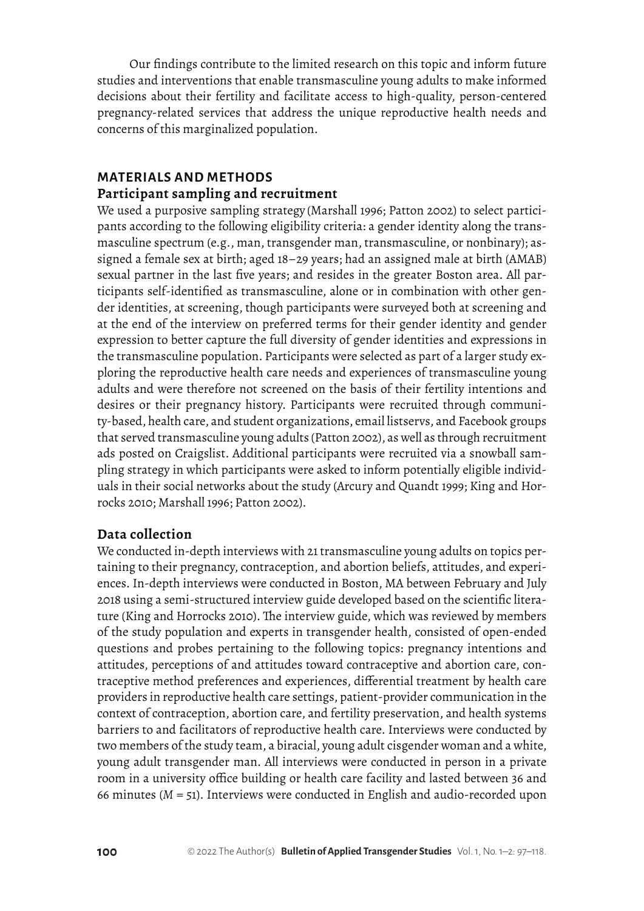Our findings contribute to the limited research on this topic and inform future studies and interventions that enable transmasculine young adults to make informed decisions about their fertility and facilitate access to high-quality, person-centered pregnancy-related services that address the unique reproductive health needs and concerns of this marginalized population.

## **MATERIALS AND METHODS Participant sampling and recruitment**

We used a purposive sampling strategy (Marshall 1996; Patton 2002) to select participants according to the following eligibility criteria: a gender identity along the transmasculine spectrum (e.g., man, transgender man, transmasculine, or nonbinary); assigned a female sex at birth; aged 18–29 years; had an assigned male at birth (AMAB) sexual partner in the last five years; and resides in the greater Boston area. All participants self-identified as transmasculine, alone or in combination with other gender identities, at screening, though participants were surveyed both at screening and at the end of the interview on preferred terms for their gender identity and gender expression to better capture the full diversity of gender identities and expressions in the transmasculine population. Participants were selected as part of a larger study exploring the reproductive health care needs and experiences of transmasculine young adults and were therefore not screened on the basis of their fertility intentions and desires or their pregnancy history. Participants were recruited through community-based, health care, and student organizations, email listservs, and Facebook groups that served transmasculine young adults (Patton 2002), as well as through recruitment ads posted on Craigslist. Additional participants were recruited via a snowball sampling strategy in which participants were asked to inform potentially eligible individuals in their social networks about the study (Arcury and Quandt 1999; King and Horrocks 2010; Marshall 1996; Patton 2002).

## **Data collection**

We conducted in-depth interviews with 21 transmasculine young adults on topics pertaining to their pregnancy, contraception, and abortion beliefs, attitudes, and experiences. In-depth interviews were conducted in Boston, MA between February and July 2018 using a semi-structured interview guide developed based on the scientific literature (King and Horrocks 2010). The interview guide, which was reviewed by members of the study population and experts in transgender health, consisted of open-ended questions and probes pertaining to the following topics: pregnancy intentions and attitudes, perceptions of and attitudes toward contraceptive and abortion care, contraceptive method preferences and experiences, differential treatment by health care providers in reproductive health care settings, patient-provider communication in the context of contraception, abortion care, and fertility preservation, and health systems barriers to and facilitators of reproductive health care. Interviews were conducted by two members of the study team, a biracial, young adult cisgender woman and a white, young adult transgender man. All interviews were conducted in person in a private room in a university office building or health care facility and lasted between 36 and 66 minutes (*M* = 51). Interviews were conducted in English and audio-recorded upon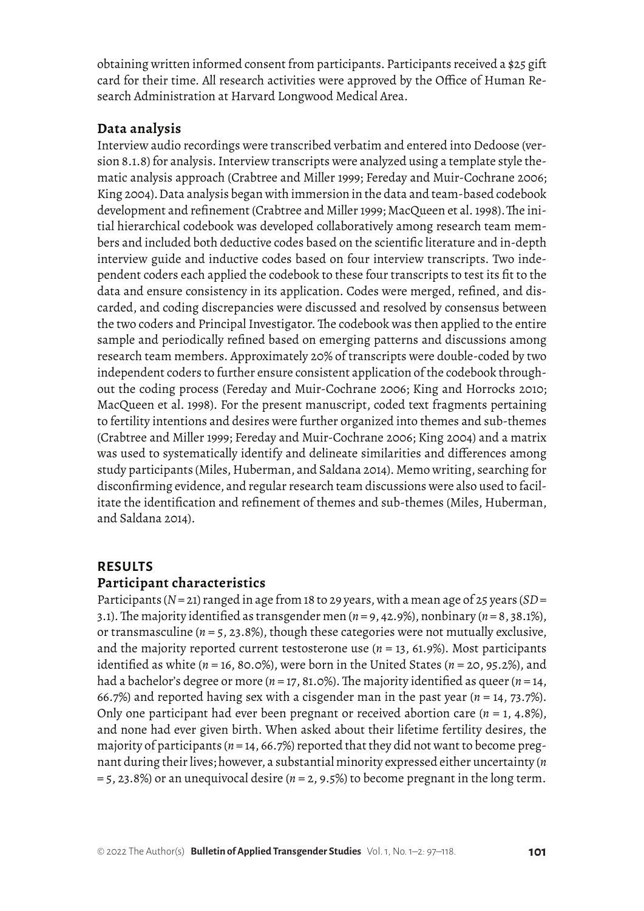obtaining written informed consent from participants. Participants received a \$25 gift card for their time. All research activities were approved by the Office of Human Research Administration at Harvard Longwood Medical Area.

#### **Data analysis**

Interview audio recordings were transcribed verbatim and entered into Dedoose (version 8.1.8) for analysis. Interview transcripts were analyzed using a template style thematic analysis approach (Crabtree and Miller 1999; Fereday and Muir-Cochrane 2006; King 2004).Data analysis began with immersion in the data and team-based codebook development and refinement (Crabtree and Miller 1999; MacQueen et al. 1998).The initial hierarchical codebook was developed collaboratively among research team members and included both deductive codes based on the scientific literature and in-depth interview guide and inductive codes based on four interview transcripts. Two independent coders each applied the codebook to these four transcripts to test its fit to the data and ensure consistency in its application. Codes were merged, refined, and discarded, and coding discrepancies were discussed and resolved by consensus between the two coders and Principal Investigator. The codebook was then applied to the entire sample and periodically refined based on emerging patterns and discussions among research team members. Approximately 20% of transcripts were double-coded by two independent coders to further ensure consistent application of the codebook throughout the coding process (Fereday and Muir-Cochrane 2006; King and Horrocks 2010; MacQueen et al. 1998). For the present manuscript, coded text fragments pertaining to fertility intentions and desires were further organized into themes and sub-themes (Crabtree and Miller 1999; Fereday and Muir-Cochrane 2006; King 2004) and a matrix was used to systematically identify and delineate similarities and differences among study participants (Miles, Huberman, and Saldana 2014). Memo writing, searching for disconfirming evidence, and regular research team discussions were also used to facilitate the identification and refinement of themes and sub-themes (Miles, Huberman, and Saldana 2014).

# **RESULTS**

#### **Participant characteristics**

Participants (*N* = 21) ranged in age from 18 to 29 years, with a mean age of 25 years (*SD* = 3.1). The majority identified as transgender men (*n* = 9, 42.9%), nonbinary (*n* = 8, 38.1%), or transmasculine (*n* = 5, 23.8%), though these categories were not mutually exclusive, and the majority reported current testosterone use  $(n = 13, 61.9\%)$ . Most participants identified as white (*n* = 16, 80.0%), were born in the United States (*n* = 20, 95.2%), and had a bachelor's degree or more (*n* = 17, 81.0%). The majority identified as queer (*n* = 14, 66.7%) and reported having sex with a cisgender man in the past year (*n* = 14, 73.7%). Only one participant had ever been pregnant or received abortion care  $(n = 1, 4.8\%)$ , and none had ever given birth. When asked about their lifetime fertility desires, the majority of participants (*n* = 14, 66.7%) reported that they did not want to become pregnant during their lives; however, a substantial minority expressed either uncertainty (*n*  $= 5$ , 23.8%) or an unequivocal desire ( $n = 2$ , 9.5%) to become pregnant in the long term.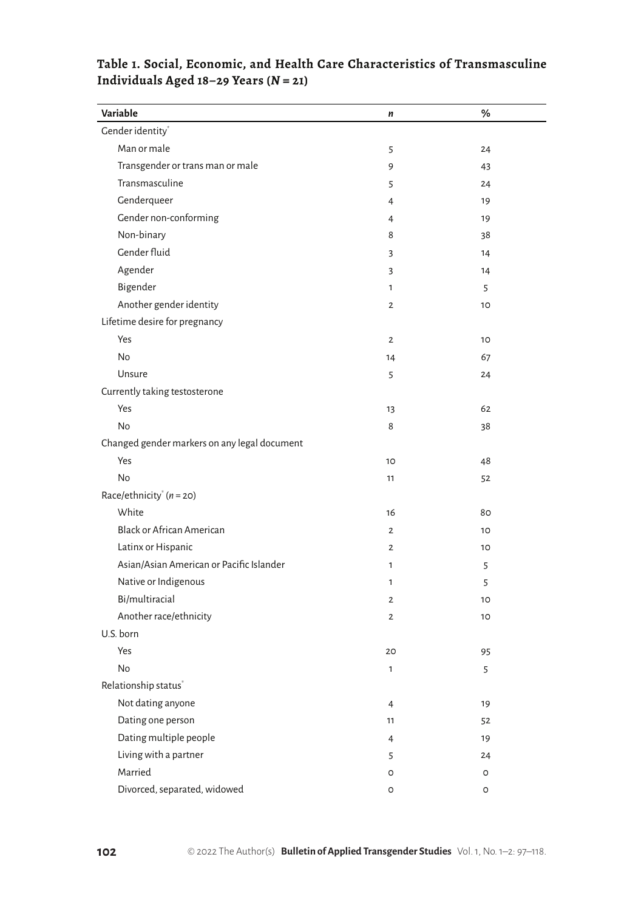| Variable                                     | n               | %       |
|----------------------------------------------|-----------------|---------|
| Gender identity <sup>*</sup>                 |                 |         |
| Man or male                                  | 5               | 24      |
| Transgender or trans man or male             | 9               | 43      |
| Transmasculine                               | 5               | 24      |
| Genderqueer                                  | 4               | 19      |
| Gender non-conforming                        | $\overline{4}$  | 19      |
| Non-binary                                   | 8               | 38      |
| Gender fluid                                 | 3               | 14      |
| Agender                                      | 3               | 14      |
| Bigender                                     | $\mathbf{1}$    | 5       |
| Another gender identity                      | $\overline{2}$  | 10      |
| Lifetime desire for pregnancy                |                 |         |
| Yes                                          | $\overline{2}$  | 10      |
| No                                           | 14              | 67      |
| Unsure                                       | 5               | 24      |
| Currently taking testosterone                |                 |         |
| Yes                                          | 13              | 62      |
| No                                           | 8               | 38      |
| Changed gender markers on any legal document |                 |         |
| Yes                                          | 10 <sup>2</sup> | 48      |
| No                                           | 11              | 52      |
| Race/ethnicity <sup>*</sup> $(n = 20)$       |                 |         |
| White                                        | 16              | 80      |
| <b>Black or African American</b>             | $\overline{2}$  | 10      |
| Latinx or Hispanic                           | $\overline{2}$  | 10      |
| Asian/Asian American or Pacific Islander     | 1               | 5       |
| Native or Indigenous                         | 1               | 5       |
| Bi/multiracial                               | $\overline{2}$  | 10      |
| Another race/ethnicity                       | $\mathbf{2}$    | 10      |
| U.S. born                                    |                 |         |
| Yes                                          | 20              | 95      |
| No                                           | 1               | 5       |
| Relationship status <sup>*</sup>             |                 |         |
| Not dating anyone                            | $\overline{4}$  | 19      |
| Dating one person                            | 11              | 52      |
| Dating multiple people                       | $\overline{4}$  | 19      |
| Living with a partner                        | 5               | 24      |
| Married                                      | O               | O       |
| Divorced, separated, widowed                 | $\circ$         | $\circ$ |

# **Table 1. Social, Economic, and Health Care Characteristics of Transmasculine Individuals Aged 18–29 Years (***N* **= 21)**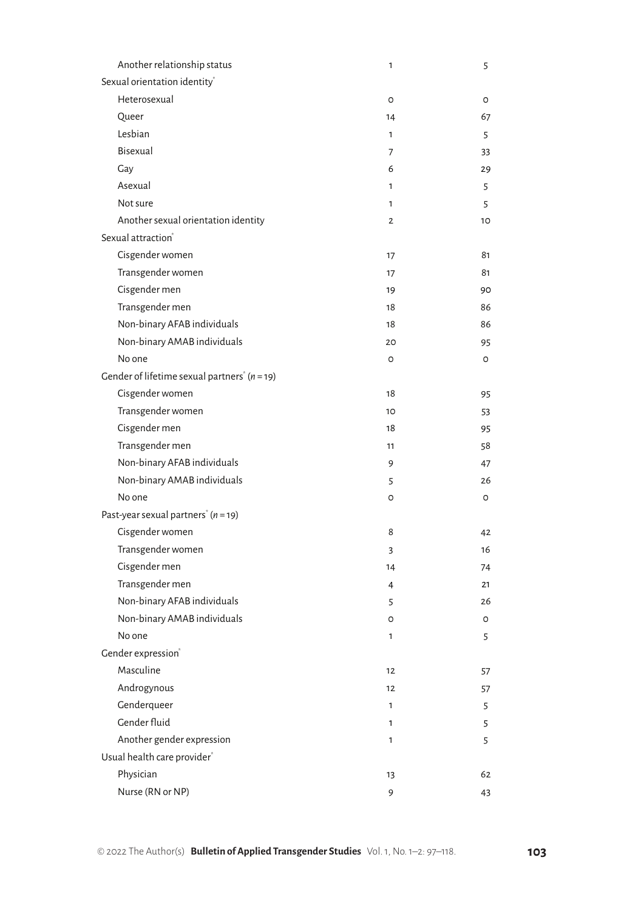| Another relationship status                                | 1            | 5  |
|------------------------------------------------------------|--------------|----|
| Sexual orientation identity <sup>®</sup>                   |              |    |
| Heterosexual                                               | O            | O  |
| Queer                                                      | 14           | 67 |
| Lesbian                                                    | 1            | 5  |
| Bisexual                                                   | 7            | 33 |
| Gay                                                        | 6            | 29 |
| Asexual                                                    | $\mathbf{1}$ | 5  |
| Not sure                                                   | 1            | 5  |
| Another sexual orientation identity                        | $\mathbf{2}$ | 10 |
| Sexual attraction®                                         |              |    |
| Cisgender women                                            | 17           | 81 |
| Transgender women                                          | 17           | 81 |
| Cisgender men                                              | 19           | 90 |
| Transgender men                                            | 18           | 86 |
| Non-binary AFAB individuals                                | 18           | 86 |
| Non-binary AMAB individuals                                | 20           | 95 |
| No one                                                     | O            | O  |
| Gender of lifetime sexual partners <sup>*</sup> $(n = 19)$ |              |    |
| Cisgender women                                            | 18           | 95 |
| Transgender women                                          | 10           | 53 |
| Cisgender men                                              | 18           | 95 |
| Transgender men                                            | 11           | 58 |
| Non-binary AFAB individuals                                | 9            | 47 |
| Non-binary AMAB individuals                                | 5            | 26 |
| No one                                                     | O            | 0  |
| Past-year sexual partners <sup>*</sup> ( $n = 19$ )        |              |    |
| Cisgender women                                            | 8            | 42 |
| Transgender women                                          | 3            | 16 |
| Cisgender men                                              | 14           | 74 |
| Transgender men                                            | 4            | 21 |
| Non-binary AFAB individuals                                | 5            | 26 |
| Non-binary AMAB individuals                                | O            | O  |
| No one                                                     | 1            | 5  |
| Gender expression®                                         |              |    |
| Masculine                                                  | 12           | 57 |
| Androgynous                                                | 12           | 57 |
| Genderqueer                                                | 1            | 5  |
| Gender fluid                                               | 1            | 5  |
| Another gender expression                                  | 1            | 5  |
| Usual health care provider*                                |              |    |
| Physician                                                  | 13           | 62 |
| Nurse (RN or NP)                                           | 9            | 43 |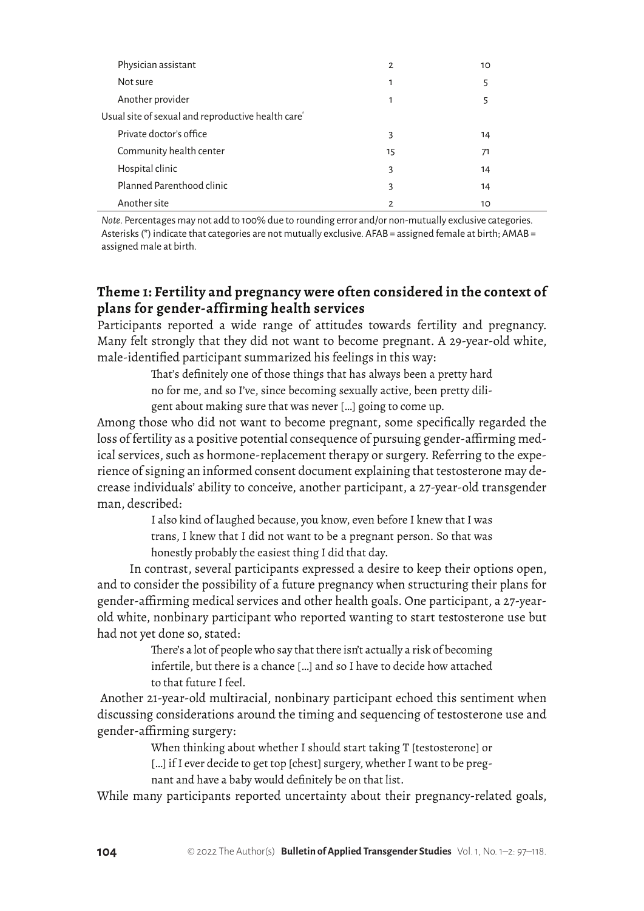| Physician assistant                                            | $\overline{2}$ | 10 |
|----------------------------------------------------------------|----------------|----|
| Not sure                                                       | 1              | 5  |
| Another provider                                               | 1              | 5  |
| Usual site of sexual and reproductive health care <sup>®</sup> |                |    |
| Private doctor's office                                        | 3              | 14 |
| Community health center                                        | 15             | 71 |
| Hospital clinic                                                | 3              | 14 |
| Planned Parenthood clinic                                      | 3              | 14 |
| Another site                                                   | 2              | 10 |

*Note*. Percentages may not add to 100% due to rounding error and/or non-mutually exclusive categories. Asterisks (\*) indicate that categories are not mutually exclusive. AFAB = assigned female at birth; AMAB = assigned male at birth.

# **Theme 1: Fertility and pregnancy were often considered in the context of plans for gender-affirming health services**

Participants reported a wide range of attitudes towards fertility and pregnancy. Many felt strongly that they did not want to become pregnant. A 29-year-old white, male-identified participant summarized his feelings in this way:

> That's definitely one of those things that has always been a pretty hard no for me, and so I've, since becoming sexually active, been pretty diligent about making sure that was never […] going to come up.

Among those who did not want to become pregnant, some specifically regarded the loss of fertility as a positive potential consequence of pursuing gender-affirming medical services, such as hormone-replacement therapy or surgery. Referring to the experience of signing an informed consent document explaining that testosterone may decrease individuals' ability to conceive, another participant, a 27-year-old transgender man, described:

> I also kind of laughed because, you know, even before I knew that I was trans, I knew that I did not want to be a pregnant person. So that was honestly probably the easiest thing I did that day.

In contrast, several participants expressed a desire to keep their options open, and to consider the possibility of a future pregnancy when structuring their plans for gender-affirming medical services and other health goals. One participant, a 27-yearold white, nonbinary participant who reported wanting to start testosterone use but had not yet done so, stated:

> There's a lot of people who say that there isn't actually a risk of becoming infertile, but there is a chance […] and so I have to decide how attached to that future I feel.

 Another 21-year-old multiracial, nonbinary participant echoed this sentiment when discussing considerations around the timing and sequencing of testosterone use and gender-affirming surgery:

When thinking about whether I should start taking T [testosterone] or

[...] if I ever decide to get top [chest] surgery, whether I want to be preg-

nant and have a baby would definitely be on that list.

While many participants reported uncertainty about their pregnancy-related goals,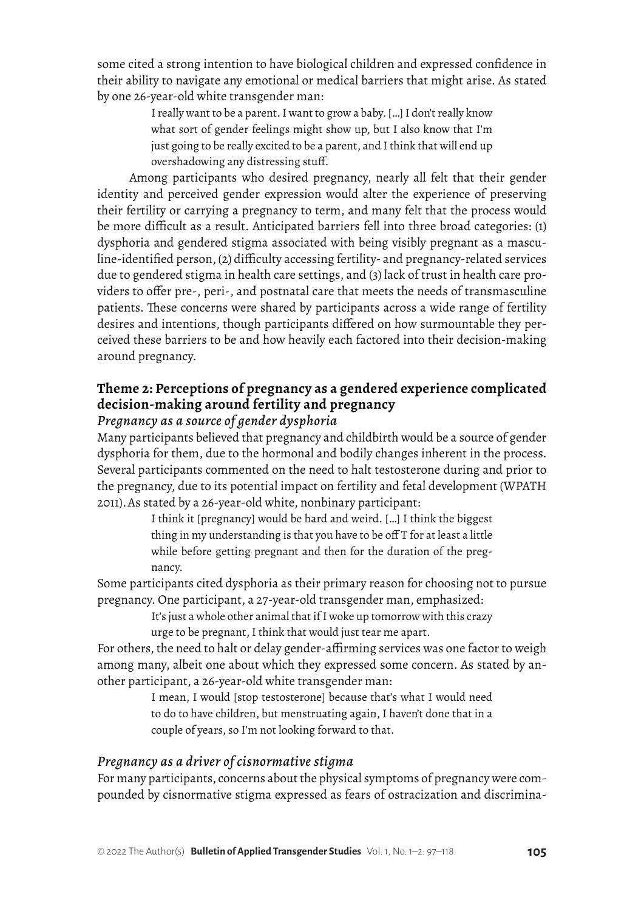some cited a strong intention to have biological children and expressed confidence in their ability to navigate any emotional or medical barriers that might arise. As stated by one 26-year-old white transgender man:

> I really want to be a parent. I want to grow a baby. […] I don't really know what sort of gender feelings might show up, but I also know that I'm just going to be really excited to be a parent, and I think that will end up overshadowing any distressing stuff.

Among participants who desired pregnancy, nearly all felt that their gender identity and perceived gender expression would alter the experience of preserving their fertility or carrying a pregnancy to term, and many felt that the process would be more difficult as a result. Anticipated barriers fell into three broad categories: (1) dysphoria and gendered stigma associated with being visibly pregnant as a masculine-identified person, (2) difficulty accessing fertility- and pregnancy-related services due to gendered stigma in health care settings, and (3) lack of trust in health care providers to offer pre-, peri-, and postnatal care that meets the needs of transmasculine patients. These concerns were shared by participants across a wide range of fertility desires and intentions, though participants differed on how surmountable they perceived these barriers to be and how heavily each factored into their decision-making around pregnancy.

# **Theme 2: Perceptions of pregnancy as a gendered experience complicated decision-making around fertility and pregnancy**

## *Pregnancy as a source of gender dysphoria*

Many participants believed that pregnancy and childbirth would be a source of gender dysphoria for them, due to the hormonal and bodily changes inherent in the process. Several participants commented on the need to halt testosterone during and prior to the pregnancy, due to its potential impact on fertility and fetal development (WPATH 2011).As stated by a 26-year-old white, nonbinary participant:

> I think it [pregnancy] would be hard and weird. […] I think the biggest thing in my understanding is that you have to be off T for at least a little while before getting pregnant and then for the duration of the pregnancy.

Some participants cited dysphoria as their primary reason for choosing not to pursue pregnancy. One participant, a 27-year-old transgender man, emphasized:

It's just a whole other animal that if I woke up tomorrow with this crazy urge to be pregnant, I think that would just tear me apart.

For others, the need to halt or delay gender-affirming services was one factor to weigh among many, albeit one about which they expressed some concern. As stated by another participant, a 26-year-old white transgender man:

I mean, I would [stop testosterone] because that's what I would need to do to have children, but menstruating again, I haven't done that in a couple of years, so I'm not looking forward to that.

## *Pregnancy as a driver of cisnormative stigma*

For many participants, concerns about the physical symptoms of pregnancy were compounded by cisnormative stigma expressed as fears of ostracization and discrimina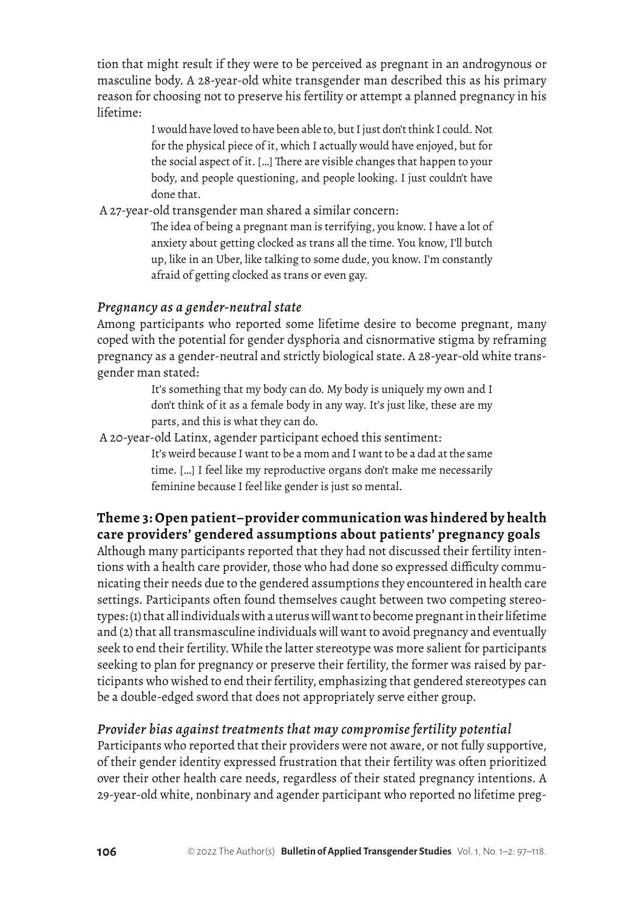tion that might result if they were to be perceived as pregnant in an androgynous or masculine body. A 28-year-old white transgender man described this as his primary reason for choosing not to preserve his fertility or attempt a planned pregnancy in his lifetime:

> I would have loved to have been able to, but I just don't think I could. Not for the physical piece of it, which I actually would have enjoyed, but for the social aspect of it. […] There are visible changes that happen to your body, and people questioning, and people looking. I just couldn't have done that.

A 27-year-old transgender man shared a similar concern:

The idea of being a pregnant man is terrifying, you know. I have a lot of anxiety about getting clocked as trans all the time. You know, I'll butch up, like in an Uber, like talking to some dude, you know. I'm constantly afraid of getting clocked as trans or even gay.

# *Pregnancy as a gender-neutral state*

Among participants who reported some lifetime desire to become pregnant, many coped with the potential for gender dysphoria and cisnormative stigma by reframing pregnancy as a gender-neutral and strictly biological state. A 28-year-old white transgender man stated:

> It's something that my body can do. My body is uniquely my own and I don't think of it as a female body in any way. It's just like, these are my parts, and this is what they can do.

A 20-year-old Latinx, agender participant echoed this sentiment:

It's weird because I want to be a mom and I want to be a dad at the same time. […] I feel like my reproductive organs don't make me necessarily feminine because I feel like gender is just so mental.

# **Theme 3: Open patient–provider communication was hindered by health care providers' gendered assumptions about patients' pregnancy goals**

Although many participants reported that they had not discussed their fertility intentions with a health care provider, those who had done so expressed difficulty communicating their needs due to the gendered assumptions they encountered in health care settings. Participants often found themselves caught between two competing stereotypes: (1) that all individuals with a uterus will want to become pregnant in their lifetime and (2) that all transmasculine individuals will want to avoid pregnancy and eventually seek to end their fertility. While the latter stereotype was more salient for participants seeking to plan for pregnancy or preserve their fertility, the former was raised by participants who wished to end their fertility, emphasizing that gendered stereotypes can be a double-edged sword that does not appropriately serve either group.

# *Provider bias against treatments that may compromise fertility potential*

Participants who reported that their providers were not aware, or not fully supportive, of their gender identity expressed frustration that their fertility was often prioritized over their other health care needs, regardless of their stated pregnancy intentions. A 29-year-old white, nonbinary and agender participant who reported no lifetime preg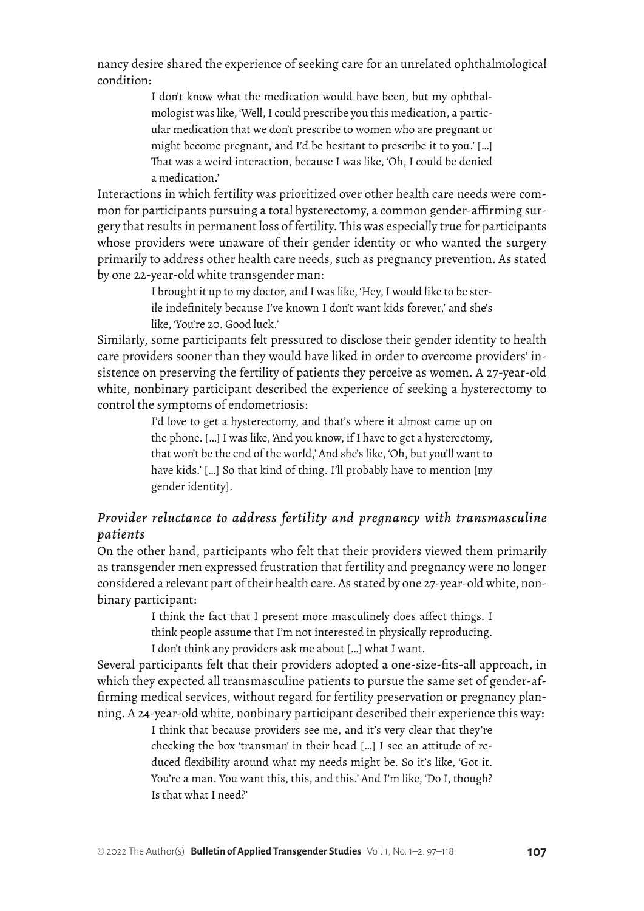nancy desire shared the experience of seeking care for an unrelated ophthalmological condition:

> I don't know what the medication would have been, but my ophthalmologist was like, 'Well, I could prescribe you this medication, a particular medication that we don't prescribe to women who are pregnant or might become pregnant, and I'd be hesitant to prescribe it to you.' […] That was a weird interaction, because I was like, 'Oh, I could be denied a medication.'

Interactions in which fertility was prioritized over other health care needs were common for participants pursuing a total hysterectomy, a common gender-affirming surgery that results in permanent loss of fertility. This was especially true for participants whose providers were unaware of their gender identity or who wanted the surgery primarily to address other health care needs, such as pregnancy prevention. As stated by one 22-year-old white transgender man:

> I brought it up to my doctor, and I was like, 'Hey, I would like to be sterile indefinitely because I've known I don't want kids forever,' and she's like, 'You're 20. Good luck.'

Similarly, some participants felt pressured to disclose their gender identity to health care providers sooner than they would have liked in order to overcome providers' insistence on preserving the fertility of patients they perceive as women. A 27-year-old white, nonbinary participant described the experience of seeking a hysterectomy to control the symptoms of endometriosis:

> I'd love to get a hysterectomy, and that's where it almost came up on the phone. […] I was like, 'And you know, if I have to get a hysterectomy, that won't be the end of the world,' And she's like, 'Oh, but you'll want to have kids.' [...] So that kind of thing. I'll probably have to mention [my] gender identity].

# *Provider reluctance to address fertility and pregnancy with transmasculine patients*

On the other hand, participants who felt that their providers viewed them primarily as transgender men expressed frustration that fertility and pregnancy were no longer considered a relevant part of their health care. As stated by one 27-year-old white, nonbinary participant:

> I think the fact that I present more masculinely does affect things. I think people assume that I'm not interested in physically reproducing. I don't think any providers ask me about […] what I want.

Several participants felt that their providers adopted a one-size-fits-all approach, in which they expected all transmasculine patients to pursue the same set of gender-affirming medical services, without regard for fertility preservation or pregnancy planning. A 24-year-old white, nonbinary participant described their experience this way:

> I think that because providers see me, and it's very clear that they're checking the box 'transman' in their head […] I see an attitude of reduced flexibility around what my needs might be. So it's like, 'Got it. You're a man. You want this, this, and this.' And I'm like, 'Do I, though? Is that what I need?'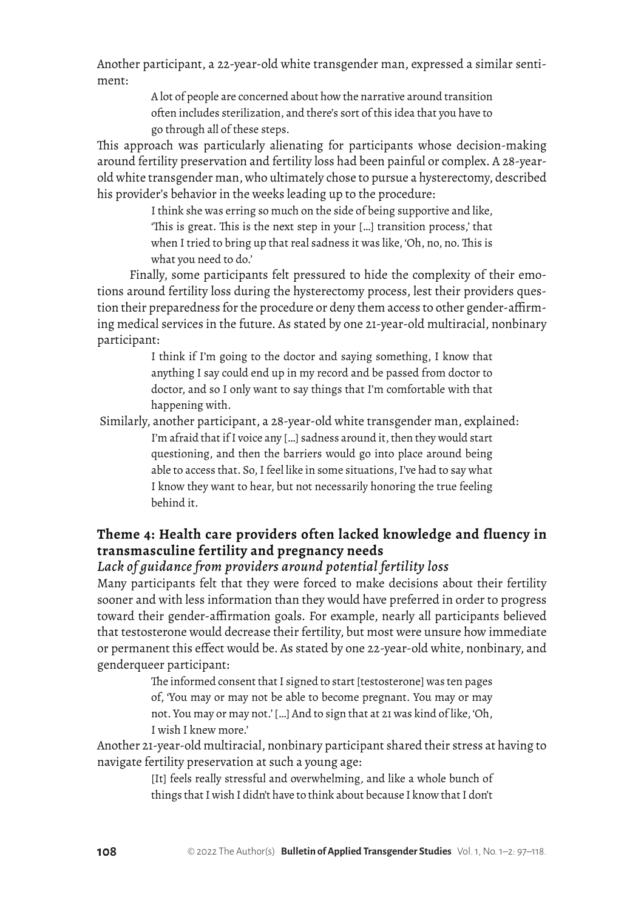Another participant, a 22-year-old white transgender man, expressed a similar sentiment:

> A lot of people are concerned about how the narrative around transition often includes sterilization, and there's sort of this idea that you have to go through all of these steps.

This approach was particularly alienating for participants whose decision-making around fertility preservation and fertility loss had been painful or complex. A 28-yearold white transgender man, who ultimately chose to pursue a hysterectomy, described his provider's behavior in the weeks leading up to the procedure:

> I think she was erring so much on the side of being supportive and like, 'This is great. This is the next step in your […] transition process,' that when I tried to bring up that real sadness it was like, 'Oh, no, no. This is what you need to do.'

Finally, some participants felt pressured to hide the complexity of their emotions around fertility loss during the hysterectomy process, lest their providers question their preparedness for the procedure or deny them access to other gender-affirming medical services in the future. As stated by one 21-year-old multiracial, nonbinary participant:

> I think if I'm going to the doctor and saying something, I know that anything I say could end up in my record and be passed from doctor to doctor, and so I only want to say things that I'm comfortable with that happening with.

 Similarly, another participant, a 28-year-old white transgender man, explained: I'm afraid that if I voice any […] sadness around it, then they would start questioning, and then the barriers would go into place around being able to access that. So, I feel like in some situations, I've had to say what I know they want to hear, but not necessarily honoring the true feeling behind it.

# **Theme 4: Health care providers often lacked knowledge and fluency in transmasculine fertility and pregnancy needs**

#### *Lack of guidance from providers around potential fertility loss*

Many participants felt that they were forced to make decisions about their fertility sooner and with less information than they would have preferred in order to progress toward their gender-affirmation goals. For example, nearly all participants believed that testosterone would decrease their fertility, but most were unsure how immediate or permanent this effect would be. As stated by one 22-year-old white, nonbinary, and genderqueer participant:

> The informed consent that I signed to start [testosterone] was ten pages of, 'You may or may not be able to become pregnant. You may or may not. You may or may not.' […] And to sign that at 21 was kind of like, 'Oh, I wish I knew more.'

Another 21-year-old multiracial, nonbinary participant shared their stress at having to navigate fertility preservation at such a young age:

> [It] feels really stressful and overwhelming, and like a whole bunch of things that I wish I didn't have to think about because I know that I don't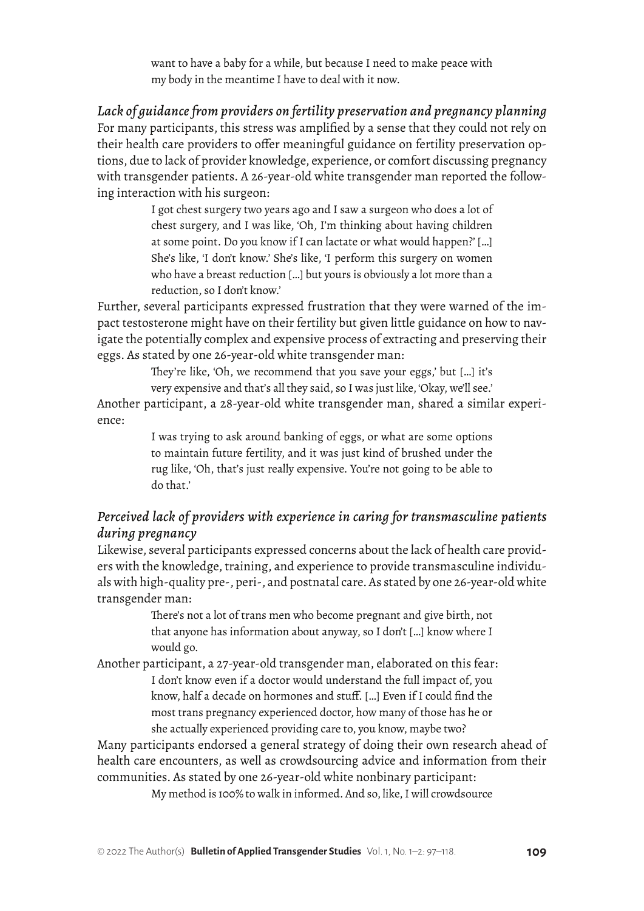want to have a baby for a while, but because I need to make peace with my body in the meantime I have to deal with it now.

*Lack of guidance from providers on fertility preservation and pregnancy planning*  For many participants, this stress was amplified by a sense that they could not rely on their health care providers to offer meaningful guidance on fertility preservation options, due to lack of provider knowledge, experience, or comfort discussing pregnancy with transgender patients. A 26-year-old white transgender man reported the following interaction with his surgeon:

> I got chest surgery two years ago and I saw a surgeon who does a lot of chest surgery, and I was like, 'Oh, I'm thinking about having children at some point. Do you know if I can lactate or what would happen?' […] She's like, 'I don't know.' She's like, 'I perform this surgery on women who have a breast reduction […] but yours is obviously a lot more than a reduction, so I don't know.'

Further, several participants expressed frustration that they were warned of the impact testosterone might have on their fertility but given little guidance on how to navigate the potentially complex and expensive process of extracting and preserving their eggs. As stated by one 26-year-old white transgender man:

> They're like, 'Oh, we recommend that you save your eggs,' but […] it's very expensive and that's all they said, so I was just like, 'Okay, we'll see.'

Another participant, a 28-year-old white transgender man, shared a similar experience:

> I was trying to ask around banking of eggs, or what are some options to maintain future fertility, and it was just kind of brushed under the rug like, 'Oh, that's just really expensive. You're not going to be able to do that.'

## *Perceived lack of providers with experience in caring for transmasculine patients during pregnancy*

Likewise, several participants expressed concerns about the lack of health care providers with the knowledge, training, and experience to provide transmasculine individuals with high-quality pre-, peri-, and postnatal care. As stated by one 26-year-old white transgender man:

> There's not a lot of trans men who become pregnant and give birth, not that anyone has information about anyway, so I don't […] know where I would go.

Another participant, a 27-year-old transgender man, elaborated on this fear: I don't know even if a doctor would understand the full impact of, you know, half a decade on hormones and stuff. […] Even if I could find the most trans pregnancy experienced doctor, how many of those has he or she actually experienced providing care to, you know, maybe two?

Many participants endorsed a general strategy of doing their own research ahead of health care encounters, as well as crowdsourcing advice and information from their communities. As stated by one 26-year-old white nonbinary participant:

My method is 100% to walk in informed. And so, like, I will crowdsource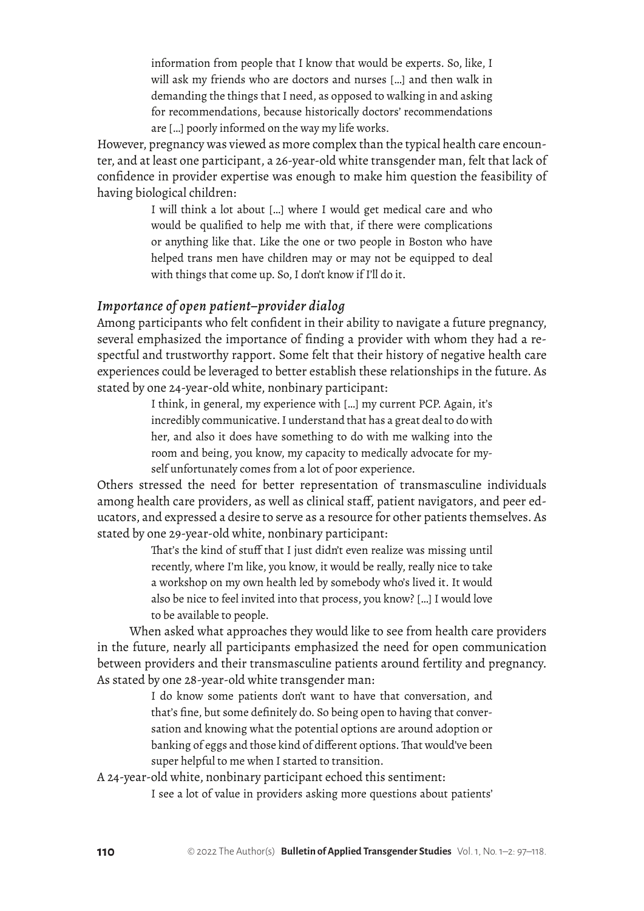information from people that I know that would be experts. So, like, I will ask my friends who are doctors and nurses […] and then walk in demanding the things that I need, as opposed to walking in and asking for recommendations, because historically doctors' recommendations are […] poorly informed on the way my life works.

However, pregnancy was viewed as more complex than the typical health care encounter, and at least one participant, a 26-year-old white transgender man, felt that lack of confidence in provider expertise was enough to make him question the feasibility of having biological children:

> I will think a lot about […] where I would get medical care and who would be qualified to help me with that, if there were complications or anything like that. Like the one or two people in Boston who have helped trans men have children may or may not be equipped to deal with things that come up. So, I don't know if I'll do it.

#### *Importance of open patient–provider dialog*

Among participants who felt confident in their ability to navigate a future pregnancy, several emphasized the importance of finding a provider with whom they had a respectful and trustworthy rapport. Some felt that their history of negative health care experiences could be leveraged to better establish these relationships in the future. As stated by one 24-year-old white, nonbinary participant:

> I think, in general, my experience with […] my current PCP. Again, it's incredibly communicative. I understand that has a great deal to do with her, and also it does have something to do with me walking into the room and being, you know, my capacity to medically advocate for myself unfortunately comes from a lot of poor experience.

Others stressed the need for better representation of transmasculine individuals among health care providers, as well as clinical staff, patient navigators, and peer educators, and expressed a desire to serve as a resource for other patients themselves. As stated by one 29-year-old white, nonbinary participant:

> That's the kind of stuff that I just didn't even realize was missing until recently, where I'm like, you know, it would be really, really nice to take a workshop on my own health led by somebody who's lived it. It would also be nice to feel invited into that process, you know? […] I would love to be available to people.

When asked what approaches they would like to see from health care providers in the future, nearly all participants emphasized the need for open communication between providers and their transmasculine patients around fertility and pregnancy. As stated by one 28-year-old white transgender man:

> I do know some patients don't want to have that conversation, and that's fine, but some definitely do. So being open to having that conversation and knowing what the potential options are around adoption or banking of eggs and those kind of different options. That would've been super helpful to me when I started to transition.

A 24-year-old white, nonbinary participant echoed this sentiment:

I see a lot of value in providers asking more questions about patients'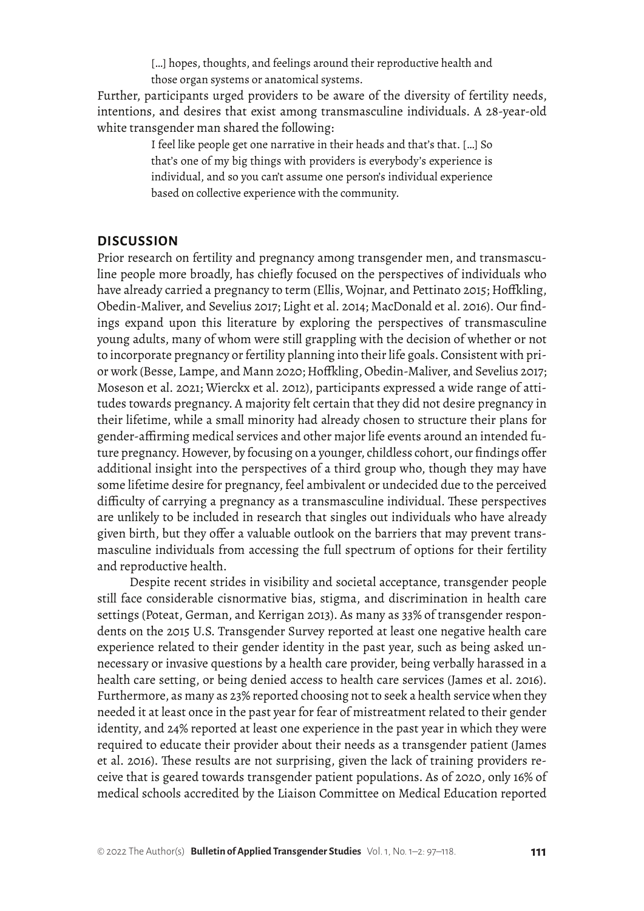[...] hopes, thoughts, and feelings around their reproductive health and those organ systems or anatomical systems.

Further, participants urged providers to be aware of the diversity of fertility needs, intentions, and desires that exist among transmasculine individuals. A 28-year-old white transgender man shared the following:

> I feel like people get one narrative in their heads and that's that. […] So that's one of my big things with providers is everybody's experience is individual, and so you can't assume one person's individual experience based on collective experience with the community.

#### **DISCUSSION**

Prior research on fertility and pregnancy among transgender men, and transmasculine people more broadly, has chiefly focused on the perspectives of individuals who have already carried a pregnancy to term (Ellis, Wojnar, and Pettinato 2015; Hoffkling, Obedin-Maliver, and Sevelius 2017; Light et al. 2014; MacDonald et al. 2016). Our findings expand upon this literature by exploring the perspectives of transmasculine young adults, many of whom were still grappling with the decision of whether or not to incorporate pregnancy or fertility planning into their life goals. Consistent with prior work (Besse, Lampe, and Mann 2020; Hoffkling, Obedin-Maliver, and Sevelius 2017; Moseson et al. 2021; Wierckx et al. 2012), participants expressed a wide range of attitudes towards pregnancy. A majority felt certain that they did not desire pregnancy in their lifetime, while a small minority had already chosen to structure their plans for gender-affirming medical services and other major life events around an intended future pregnancy. However, by focusing on a younger, childless cohort, our findings offer additional insight into the perspectives of a third group who, though they may have some lifetime desire for pregnancy, feel ambivalent or undecided due to the perceived difficulty of carrying a pregnancy as a transmasculine individual. These perspectives are unlikely to be included in research that singles out individuals who have already given birth, but they offer a valuable outlook on the barriers that may prevent transmasculine individuals from accessing the full spectrum of options for their fertility and reproductive health.

Despite recent strides in visibility and societal acceptance, transgender people still face considerable cisnormative bias, stigma, and discrimination in health care settings (Poteat, German, and Kerrigan 2013). As many as 33% of transgender respondents on the 2015 U.S. Transgender Survey reported at least one negative health care experience related to their gender identity in the past year, such as being asked unnecessary or invasive questions by a health care provider, being verbally harassed in a health care setting, or being denied access to health care services (James et al. 2016). Furthermore, as many as 23% reported choosing not to seek a health service when they needed it at least once in the past year for fear of mistreatment related to their gender identity, and 24% reported at least one experience in the past year in which they were required to educate their provider about their needs as a transgender patient (James et al. 2016). These results are not surprising, given the lack of training providers receive that is geared towards transgender patient populations. As of 2020, only 16% of medical schools accredited by the Liaison Committee on Medical Education reported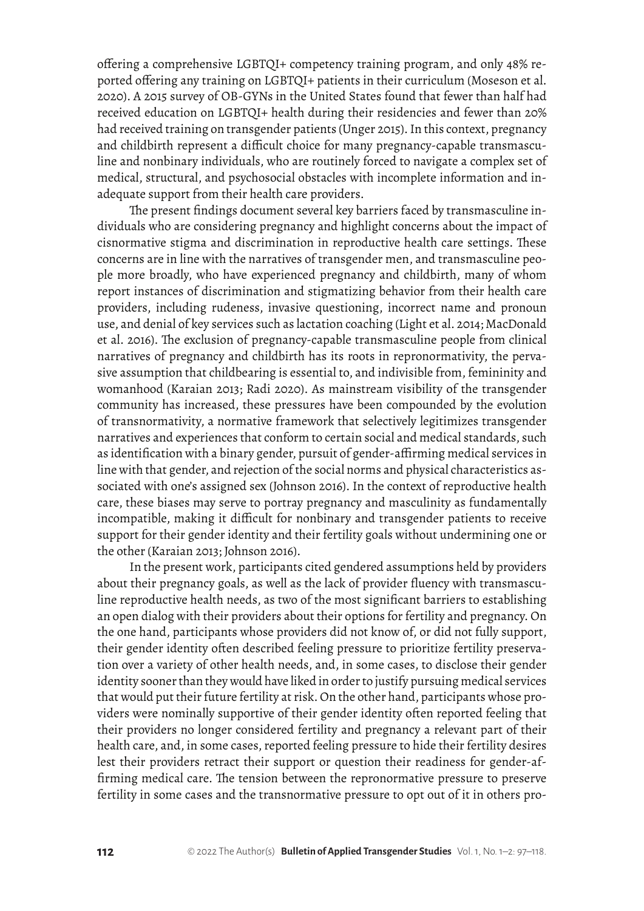offering a comprehensive LGBTQI+ competency training program, and only 48% reported offering any training on LGBTQI+ patients in their curriculum (Moseson et al. 2020). A 2015 survey of OB-GYNs in the United States found that fewer than half had received education on LGBTQI+ health during their residencies and fewer than 20% had received training on transgender patients (Unger 2015). In this context, pregnancy and childbirth represent a difficult choice for many pregnancy-capable transmasculine and nonbinary individuals, who are routinely forced to navigate a complex set of medical, structural, and psychosocial obstacles with incomplete information and inadequate support from their health care providers.

The present findings document several key barriers faced by transmasculine individuals who are considering pregnancy and highlight concerns about the impact of cisnormative stigma and discrimination in reproductive health care settings. These concerns are in line with the narratives of transgender men, and transmasculine people more broadly, who have experienced pregnancy and childbirth, many of whom report instances of discrimination and stigmatizing behavior from their health care providers, including rudeness, invasive questioning, incorrect name and pronoun use, and denial of key services such as lactation coaching (Light et al. 2014; MacDonald et al. 2016). The exclusion of pregnancy-capable transmasculine people from clinical narratives of pregnancy and childbirth has its roots in repronormativity, the pervasive assumption that childbearing is essential to, and indivisible from, femininity and womanhood (Karaian 2013; Radi 2020). As mainstream visibility of the transgender community has increased, these pressures have been compounded by the evolution of transnormativity, a normative framework that selectively legitimizes transgender narratives and experiences that conform to certain social and medical standards, such as identification with a binary gender, pursuit of gender-affirming medical services in line with that gender, and rejection of the social norms and physical characteristics associated with one's assigned sex (Johnson 2016). In the context of reproductive health care, these biases may serve to portray pregnancy and masculinity as fundamentally incompatible, making it difficult for nonbinary and transgender patients to receive support for their gender identity and their fertility goals without undermining one or the other (Karaian 2013; Johnson 2016).

In the present work, participants cited gendered assumptions held by providers about their pregnancy goals, as well as the lack of provider fluency with transmasculine reproductive health needs, as two of the most significant barriers to establishing an open dialog with their providers about their options for fertility and pregnancy. On the one hand, participants whose providers did not know of, or did not fully support, their gender identity often described feeling pressure to prioritize fertility preservation over a variety of other health needs, and, in some cases, to disclose their gender identity sooner than they would have liked in order to justify pursuing medical services that would put their future fertility at risk. On the other hand, participants whose providers were nominally supportive of their gender identity often reported feeling that their providers no longer considered fertility and pregnancy a relevant part of their health care, and, in some cases, reported feeling pressure to hide their fertility desires lest their providers retract their support or question their readiness for gender-affirming medical care. The tension between the repronormative pressure to preserve fertility in some cases and the transnormative pressure to opt out of it in others pro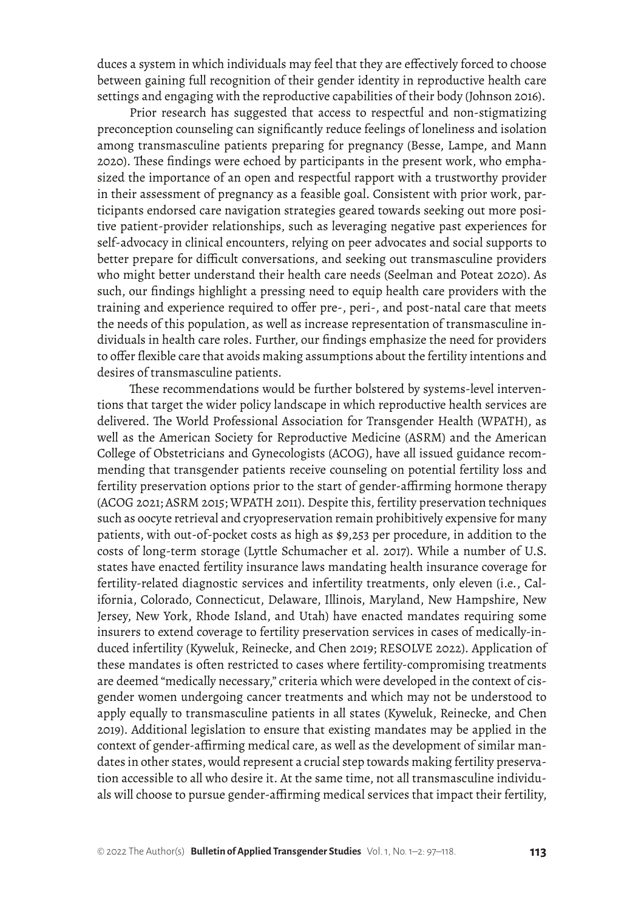duces a system in which individuals may feel that they are effectively forced to choose between gaining full recognition of their gender identity in reproductive health care settings and engaging with the reproductive capabilities of their body (Johnson 2016).

Prior research has suggested that access to respectful and non-stigmatizing preconception counseling can significantly reduce feelings of loneliness and isolation among transmasculine patients preparing for pregnancy (Besse, Lampe, and Mann 2020). These findings were echoed by participants in the present work, who emphasized the importance of an open and respectful rapport with a trustworthy provider in their assessment of pregnancy as a feasible goal. Consistent with prior work, participants endorsed care navigation strategies geared towards seeking out more positive patient-provider relationships, such as leveraging negative past experiences for self-advocacy in clinical encounters, relying on peer advocates and social supports to better prepare for difficult conversations, and seeking out transmasculine providers who might better understand their health care needs (Seelman and Poteat 2020). As such, our findings highlight a pressing need to equip health care providers with the training and experience required to offer pre-, peri-, and post-natal care that meets the needs of this population, as well as increase representation of transmasculine individuals in health care roles. Further, our findings emphasize the need for providers to offer flexible care that avoids making assumptions about the fertility intentions and desires of transmasculine patients.

These recommendations would be further bolstered by systems-level interventions that target the wider policy landscape in which reproductive health services are delivered. The World Professional Association for Transgender Health (WPATH), as well as the American Society for Reproductive Medicine (ASRM) and the American College of Obstetricians and Gynecologists (ACOG), have all issued guidance recommending that transgender patients receive counseling on potential fertility loss and fertility preservation options prior to the start of gender-affirming hormone therapy (ACOG 2021; ASRM 2015; WPATH 2011). Despite this, fertility preservation techniques such as oocyte retrieval and cryopreservation remain prohibitively expensive for many patients, with out-of-pocket costs as high as \$9,253 per procedure, in addition to the costs of long-term storage (Lyttle Schumacher et al. 2017). While a number of U.S. states have enacted fertility insurance laws mandating health insurance coverage for fertility-related diagnostic services and infertility treatments, only eleven (i.e., California, Colorado, Connecticut, Delaware, Illinois, Maryland, New Hampshire, New Jersey, New York, Rhode Island, and Utah) have enacted mandates requiring some insurers to extend coverage to fertility preservation services in cases of medically-induced infertility (Kyweluk, Reinecke, and Chen 2019; RESOLVE 2022). Application of these mandates is often restricted to cases where fertility-compromising treatments are deemed "medically necessary," criteria which were developed in the context of cisgender women undergoing cancer treatments and which may not be understood to apply equally to transmasculine patients in all states (Kyweluk, Reinecke, and Chen 2019). Additional legislation to ensure that existing mandates may be applied in the context of gender-affirming medical care, as well as the development of similar mandates in other states, would represent a crucial step towards making fertility preservation accessible to all who desire it. At the same time, not all transmasculine individuals will choose to pursue gender-affirming medical services that impact their fertility,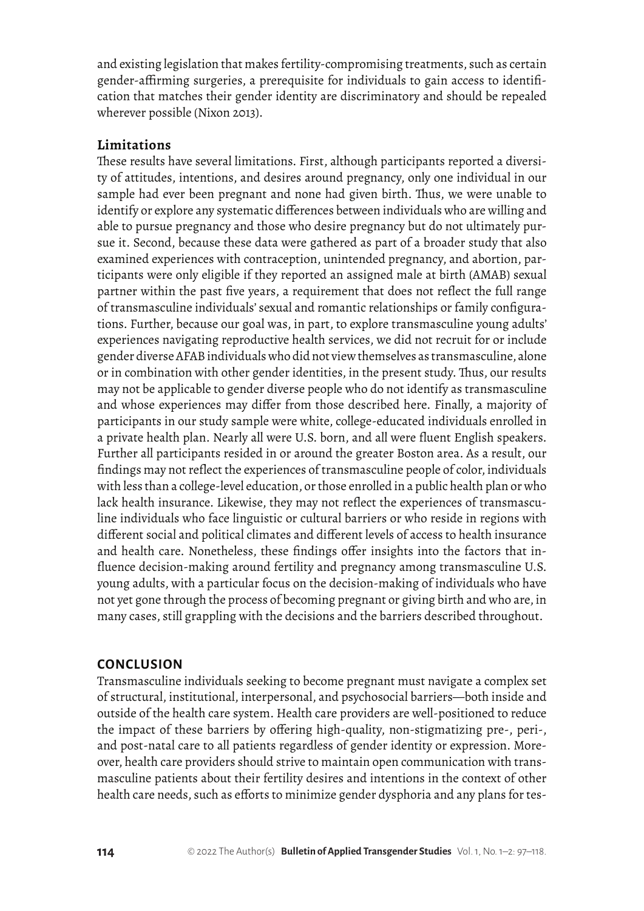and existing legislation that makes fertility-compromising treatments, such as certain gender-affirming surgeries, a prerequisite for individuals to gain access to identification that matches their gender identity are discriminatory and should be repealed wherever possible (Nixon 2013).

#### **Limitations**

These results have several limitations. First, although participants reported a diversity of attitudes, intentions, and desires around pregnancy, only one individual in our sample had ever been pregnant and none had given birth. Thus, we were unable to identify or explore any systematic differences between individuals who are willing and able to pursue pregnancy and those who desire pregnancy but do not ultimately pursue it. Second, because these data were gathered as part of a broader study that also examined experiences with contraception, unintended pregnancy, and abortion, participants were only eligible if they reported an assigned male at birth (AMAB) sexual partner within the past five years, a requirement that does not reflect the full range of transmasculine individuals' sexual and romantic relationships or family configurations. Further, because our goal was, in part, to explore transmasculine young adults' experiences navigating reproductive health services, we did not recruit for or include gender diverse AFAB individuals who did not view themselves as transmasculine, alone or in combination with other gender identities, in the present study. Thus, our results may not be applicable to gender diverse people who do not identify as transmasculine and whose experiences may differ from those described here. Finally, a majority of participants in our study sample were white, college-educated individuals enrolled in a private health plan. Nearly all were U.S. born, and all were fluent English speakers. Further all participants resided in or around the greater Boston area. As a result, our findings may not reflect the experiences of transmasculine people of color, individuals with less than a college-level education, or those enrolled in a public health plan or who lack health insurance. Likewise, they may not reflect the experiences of transmasculine individuals who face linguistic or cultural barriers or who reside in regions with different social and political climates and different levels of access to health insurance and health care. Nonetheless, these findings offer insights into the factors that influence decision-making around fertility and pregnancy among transmasculine U.S. young adults, with a particular focus on the decision-making of individuals who have not yet gone through the process of becoming pregnant or giving birth and who are, in many cases, still grappling with the decisions and the barriers described throughout.

#### **CONCLUSION**

Transmasculine individuals seeking to become pregnant must navigate a complex set of structural, institutional, interpersonal, and psychosocial barriers—both inside and outside of the health care system. Health care providers are well-positioned to reduce the impact of these barriers by offering high-quality, non-stigmatizing pre-, peri-, and post-natal care to all patients regardless of gender identity or expression. Moreover, health care providers should strive to maintain open communication with transmasculine patients about their fertility desires and intentions in the context of other health care needs, such as efforts to minimize gender dysphoria and any plans for tes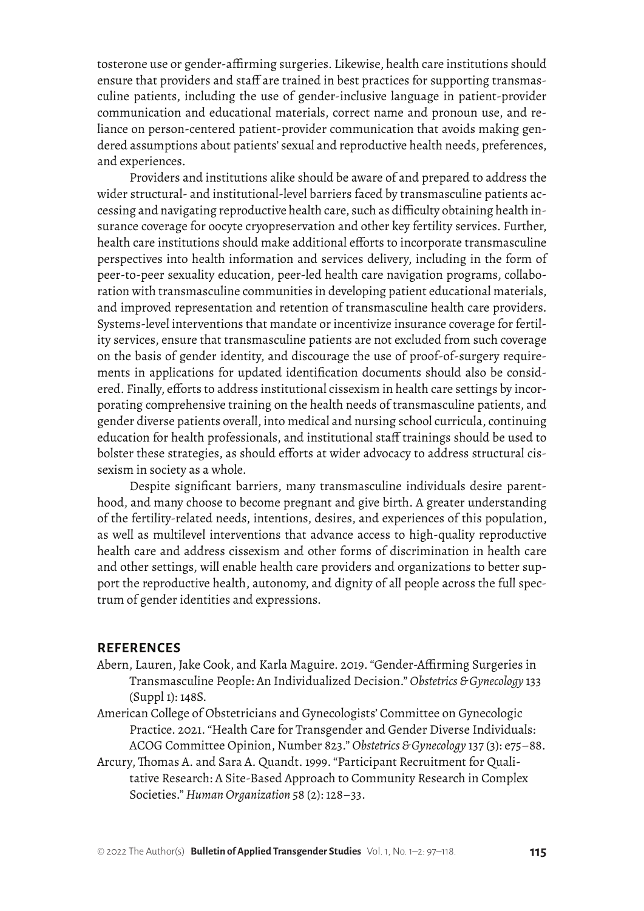tosterone use or gender-affirming surgeries. Likewise, health care institutions should ensure that providers and staff are trained in best practices for supporting transmasculine patients, including the use of gender-inclusive language in patient-provider communication and educational materials, correct name and pronoun use, and reliance on person-centered patient-provider communication that avoids making gendered assumptions about patients' sexual and reproductive health needs, preferences, and experiences.

Providers and institutions alike should be aware of and prepared to address the wider structural- and institutional-level barriers faced by transmasculine patients accessing and navigating reproductive health care, such as difficulty obtaining health insurance coverage for oocyte cryopreservation and other key fertility services. Further, health care institutions should make additional efforts to incorporate transmasculine perspectives into health information and services delivery, including in the form of peer-to-peer sexuality education, peer-led health care navigation programs, collaboration with transmasculine communities in developing patient educational materials, and improved representation and retention of transmasculine health care providers. Systems-level interventions that mandate or incentivize insurance coverage for fertility services, ensure that transmasculine patients are not excluded from such coverage on the basis of gender identity, and discourage the use of proof-of-surgery requirements in applications for updated identification documents should also be considered. Finally, efforts to address institutional cissexism in health care settings by incorporating comprehensive training on the health needs of transmasculine patients, and gender diverse patients overall, into medical and nursing school curricula, continuing education for health professionals, and institutional staff trainings should be used to bolster these strategies, as should efforts at wider advocacy to address structural cissexism in society as a whole.

Despite significant barriers, many transmasculine individuals desire parenthood, and many choose to become pregnant and give birth. A greater understanding of the fertility-related needs, intentions, desires, and experiences of this population, as well as multilevel interventions that advance access to high-quality reproductive health care and address cissexism and other forms of discrimination in health care and other settings, will enable health care providers and organizations to better support the reproductive health, autonomy, and dignity of all people across the full spectrum of gender identities and expressions.

#### **REFERENCES**

- Abern, Lauren, Jake Cook, and Karla Maguire. 2019. "Gender-Affirming Surgeries in Transmasculine People: An Individualized Decision." *Obstetrics & Gynecology* 133 (Suppl 1): 148S.
- American College of Obstetricians and Gynecologists' Committee on Gynecologic Practice. 2021. "Health Care for Transgender and Gender Diverse Individuals: ACOG Committee Opinion, Number 823." *Obstetrics & Gynecology* 137 (3): e75–88.
- Arcury, Thomas A. and Sara A. Quandt. 1999. "Participant Recruitment for Qualitative Research: A Site-Based Approach to Community Research in Complex Societies." *Human Organization* 58 (2): 128–33.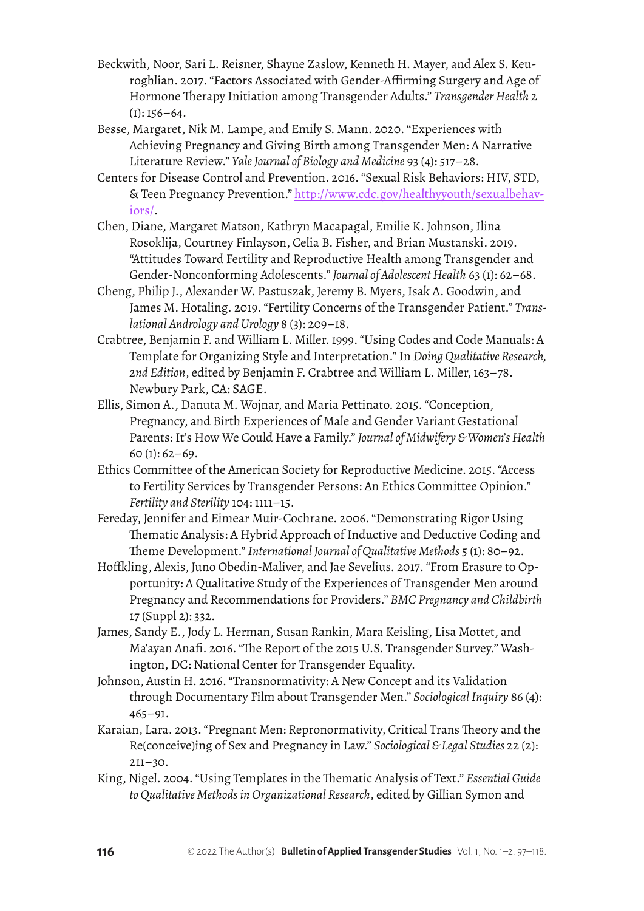- Beckwith, Noor, Sari L. Reisner, Shayne Zaslow, Kenneth H. Mayer, and Alex S. Keuroghlian. 2017. "Factors Associated with Gender-Affirming Surgery and Age of Hormone Therapy Initiation among Transgender Adults." *Transgender Health* 2  $(1): 156-64.$
- Besse, Margaret, Nik M. Lampe, and Emily S. Mann. 2020. "Experiences with Achieving Pregnancy and Giving Birth among Transgender Men: A Narrative Literature Review." *Yale Journal of Biology and Medicine* 93 (4): 517–28.
- Centers for Disease Control and Prevention. 2016. "Sexual Risk Behaviors: HIV, STD, & Teen Pregnancy Prevention." [http://www.cdc.gov/healthyyouth/sexualbehav](http://www.cdc.gov/healthyyouth/sexualbehaviors/)[iors/.](http://www.cdc.gov/healthyyouth/sexualbehaviors/)
- Chen, Diane, Margaret Matson, Kathryn Macapagal, Emilie K. Johnson, Ilina Rosoklija, Courtney Finlayson, Celia B. Fisher, and Brian Mustanski. 2019. "Attitudes Toward Fertility and Reproductive Health among Transgender and Gender-Nonconforming Adolescents." *Journal of Adolescent Health* 63 (1): 62–68.
- Cheng, Philip J., Alexander W. Pastuszak, Jeremy B. Myers, Isak A. Goodwin, and James M. Hotaling. 2019. "Fertility Concerns of the Transgender Patient." *Translational Andrology and Urology* 8 (3): 209–18.
- Crabtree, Benjamin F. and William L. Miller. 1999. "Using Codes and Code Manuals: A Template for Organizing Style and Interpretation." In *Doing Qualitative Research, 2nd Edition*, edited by Benjamin F. Crabtree and William L. Miller, 163–78. Newbury Park, CA: SAGE.
- Ellis, Simon A., Danuta M. Wojnar, and Maria Pettinato. 2015. "Conception, Pregnancy, and Birth Experiences of Male and Gender Variant Gestational Parents: It's How We Could Have a Family." *Journal of Midwifery & Women's Health*   $60 (1): 62 - 69.$
- Ethics Committee of the American Society for Reproductive Medicine. 2015. "Access to Fertility Services by Transgender Persons: An Ethics Committee Opinion." *Fertility and Sterility* 104: 1111–15.
- Fereday, Jennifer and Eimear Muir-Cochrane. 2006. "Demonstrating Rigor Using Thematic Analysis: A Hybrid Approach of Inductive and Deductive Coding and Theme Development." *International Journal of Qualitative Methods* 5 (1): 80–92.
- Hoffkling, Alexis, Juno Obedin-Maliver, and Jae Sevelius. 2017. "From Erasure to Opportunity: A Qualitative Study of the Experiences of Transgender Men around Pregnancy and Recommendations for Providers." *BMC Pregnancy and Childbirth*  17 (Suppl 2): 332.
- James, Sandy E., Jody L. Herman, Susan Rankin, Mara Keisling, Lisa Mottet, and Ma'ayan Anafi. 2016. "The Report of the 2015 U.S. Transgender Survey." Washington, DC: National Center for Transgender Equality.
- Johnson, Austin H. 2016. "Transnormativity: A New Concept and its Validation through Documentary Film about Transgender Men." *Sociological Inquiry* 86 (4): 465–91.
- Karaian, Lara. 2013. "Pregnant Men: Repronormativity, Critical Trans Theory and the Re(conceive)ing of Sex and Pregnancy in Law." *Sociological & Legal Studies* 22 (2): 211–30.
- King, Nigel. 2004. "Using Templates in the Thematic Analysis of Text." *Essential Guide to Qualitative Methods in Organizational Research*, edited by Gillian Symon and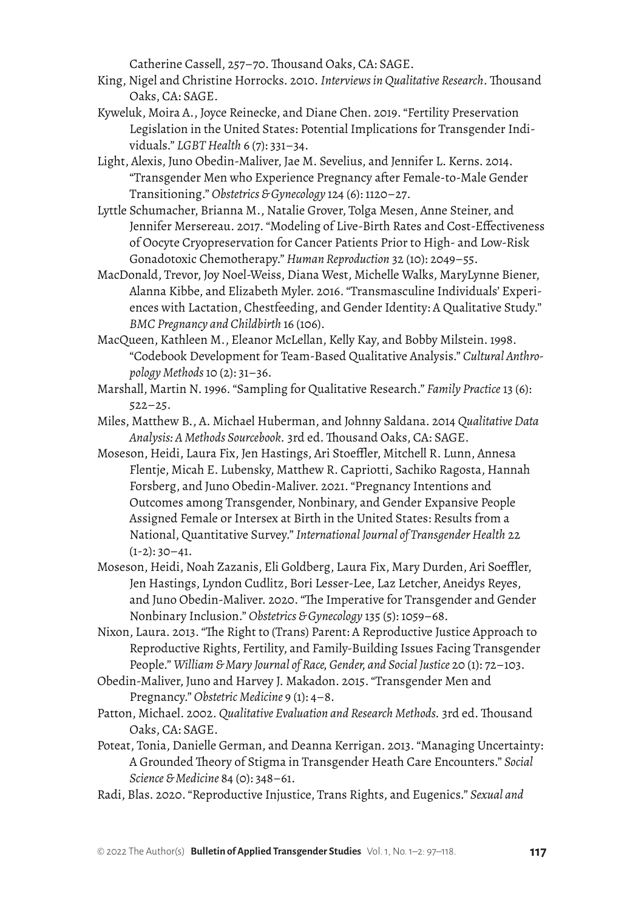Catherine Cassell, 257–70. Thousand Oaks, CA: SAGE.

- King, Nigel and Christine Horrocks. 2010. *Interviews in Qualitative Research*. Thousand Oaks, CA: SAGE.
- Kyweluk, Moira A., Joyce Reinecke, and Diane Chen. 2019. "Fertility Preservation Legislation in the United States: Potential Implications for Transgender Individuals." *LGBT Health* 6 (7): 331–34.
- Light, Alexis, Juno Obedin-Maliver, Jae M. Sevelius, and Jennifer L. Kerns. 2014. "Transgender Men who Experience Pregnancy after Female-to-Male Gender Transitioning." *Obstetrics & Gynecology* 124 (6): 1120–27.
- Lyttle Schumacher, Brianna M., Natalie Grover, Tolga Mesen, Anne Steiner, and Jennifer Mersereau. 2017. "Modeling of Live-Birth Rates and Cost-Effectiveness of Oocyte Cryopreservation for Cancer Patients Prior to High- and Low-Risk Gonadotoxic Chemotherapy." *Human Reproduction* 32 (10): 2049–55.
- MacDonald, Trevor, Joy Noel-Weiss, Diana West, Michelle Walks, MaryLynne Biener, Alanna Kibbe, and Elizabeth Myler. 2016. "Transmasculine Individuals' Experiences with Lactation, Chestfeeding, and Gender Identity: A Qualitative Study." *BMC Pregnancy and Childbirth* 16 (106).
- MacQueen, Kathleen M., Eleanor McLellan, Kelly Kay, and Bobby Milstein. 1998. "Codebook Development for Team-Based Qualitative Analysis." *Cultural Anthropology Methods* 10 (2): 31–36.
- Marshall, Martin N. 1996. "Sampling for Qualitative Research." *Family Practice* 13 (6): 522–25.
- Miles, Matthew B., A. Michael Huberman, and Johnny Saldana. 2014 *Qualitative Data Analysis: A Methods Sourcebook.* 3rd ed. Thousand Oaks, CA: SAGE.
- Moseson, Heidi, Laura Fix, Jen Hastings, Ari Stoeffler, Mitchell R. Lunn, Annesa Flentje, Micah E. Lubensky, Matthew R. Capriotti, Sachiko Ragosta, Hannah Forsberg, and Juno Obedin-Maliver. 2021. "Pregnancy Intentions and Outcomes among Transgender, Nonbinary, and Gender Expansive People Assigned Female or Intersex at Birth in the United States: Results from a National, Quantitative Survey." *International Journal of Transgender Health* 22  $(1-2): 30-41.$
- Moseson, Heidi, Noah Zazanis, Eli Goldberg, Laura Fix, Mary Durden, Ari Soeffler, Jen Hastings, Lyndon Cudlitz, Bori Lesser-Lee, Laz Letcher, Aneidys Reyes, and Juno Obedin-Maliver. 2020. "The Imperative for Transgender and Gender Nonbinary Inclusion." *Obstetrics & Gynecology* 135 (5): 1059–68.
- Nixon, Laura. 2013. "The Right to (Trans) Parent: A Reproductive Justice Approach to Reproductive Rights, Fertility, and Family-Building Issues Facing Transgender People." *William & Mary Journal of Race, Gender, and Social Justice* 20 (1): 72–103.
- Obedin-Maliver, Juno and Harvey J. Makadon. 2015. "Transgender Men and Pregnancy." *Obstetric Medicine* 9 (1): 4–8.
- Patton, Michael. 2002. *Qualitative Evaluation and Research Methods.* 3rd ed. Thousand Oaks, CA: SAGE.
- Poteat, Tonia, Danielle German, and Deanna Kerrigan. 2013. "Managing Uncertainty: A Grounded Theory of Stigma in Transgender Heath Care Encounters." *Social Science & Medicine* 84 (0): 348–61.
- Radi, Blas. 2020. "Reproductive Injustice, Trans Rights, and Eugenics." *Sexual and*